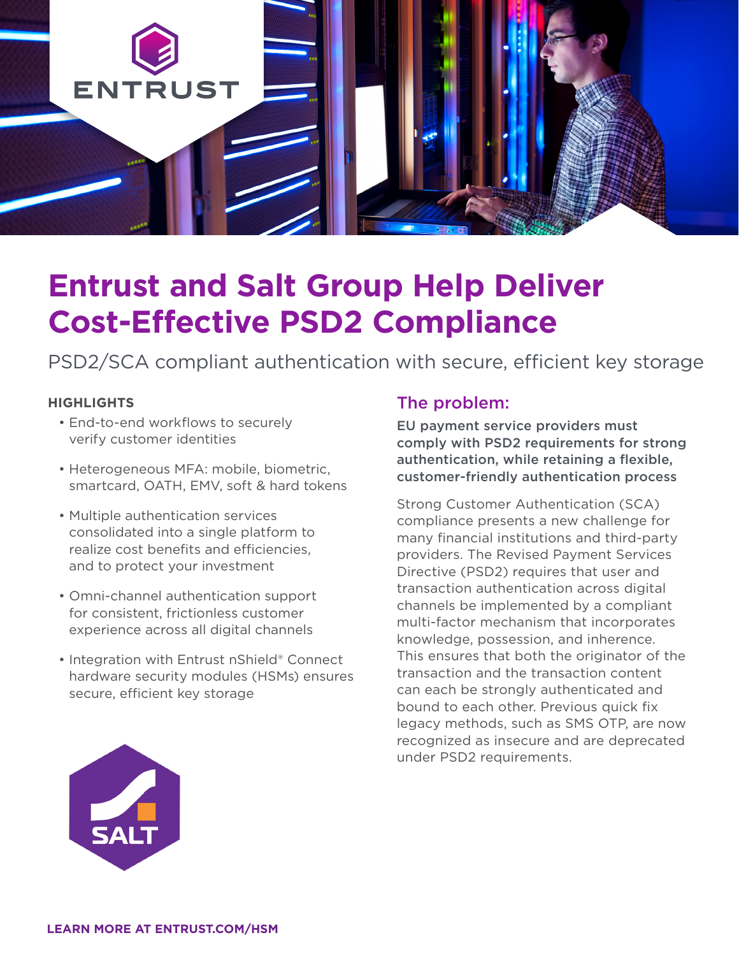

# **Entrust and Salt Group Help Deliver Cost-Effective PSD2 Compliance**

PSD2/SCA compliant authentication with secure, efficient key storage

#### **HIGHLIGHTS**

- End-to-end workflows to securely verify customer identities
- Heterogeneous MFA: mobile, biometric, smartcard, OATH, EMV, soft & hard tokens
- Multiple authentication services consolidated into a single platform to realize cost benefits and efficiencies, and to protect your investment
- Omni-channel authentication support for consistent, frictionless customer experience across all digital channels
- Integration with Entrust nShield® Connect hardware security modules (HSMs) ensures secure, efficient key storage

#### The problem:

EU payment service providers must comply with PSD2 requirements for strong authentication, while retaining a flexible, customer-friendly authentication process

Strong Customer Authentication (SCA) compliance presents a new challenge for many financial institutions and third-party providers. The Revised Payment Services Directive (PSD2) requires that user and transaction authentication across digital channels be implemented by a compliant multi-factor mechanism that incorporates knowledge, possession, and inherence. This ensures that both the originator of the transaction and the transaction content can each be strongly authenticated and bound to each other. Previous quick fix legacy methods, such as SMS OTP, are now recognized as insecure and are deprecated under PSD2 requirements.

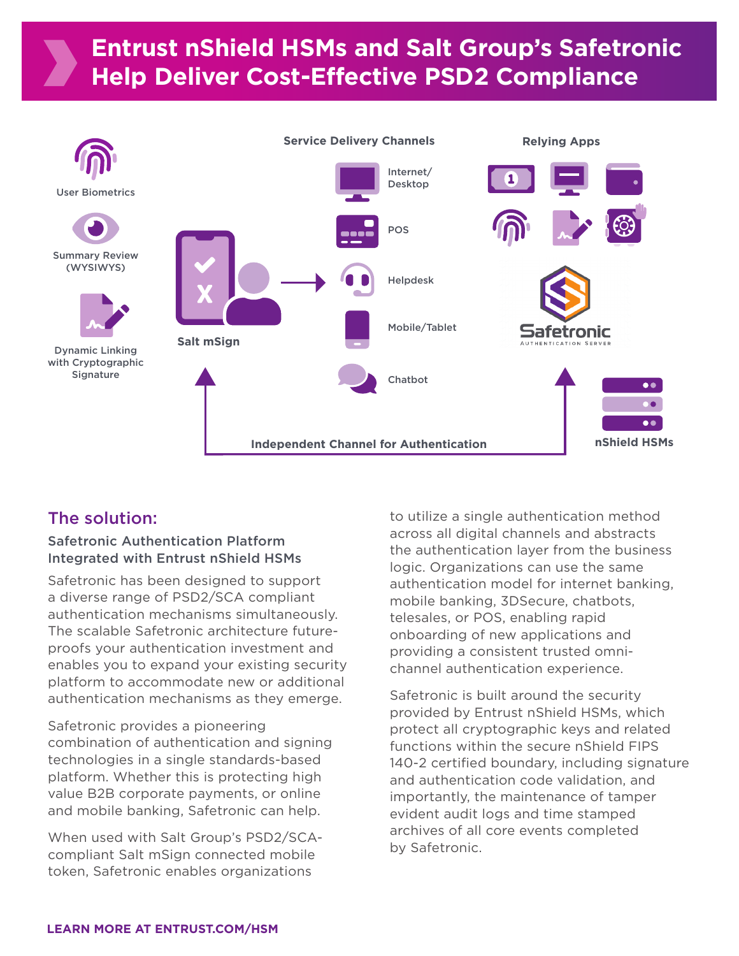

## The solution:

#### Safetronic Authentication Platform Integrated with Entrust nShield HSMs

Safetronic has been designed to support a diverse range of PSD2/SCA compliant authentication mechanisms simultaneously. The scalable Safetronic architecture futureproofs your authentication investment and enables you to expand your existing security platform to accommodate new or additional authentication mechanisms as they emerge.

Safetronic provides a pioneering combination of authentication and signing technologies in a single standards-based platform. Whether this is protecting high value B2B corporate payments, or online and mobile banking, Safetronic can help.

When used with Salt Group's PSD2/SCAcompliant Salt mSign connected mobile token, Safetronic enables organizations

to utilize a single authentication method across all digital channels and abstracts the authentication layer from the business logic. Organizations can use the same authentication model for internet banking, mobile banking, 3DSecure, chatbots, telesales, or POS, enabling rapid onboarding of new applications and providing a consistent trusted omnichannel authentication experience.

Safetronic is built around the security provided by Entrust nShield HSMs, which protect all cryptographic keys and related functions within the secure nShield FIPS 140-2 certified boundary, including signature and authentication code validation, and importantly, the maintenance of tamper evident audit logs and time stamped archives of all core events completed by Safetronic.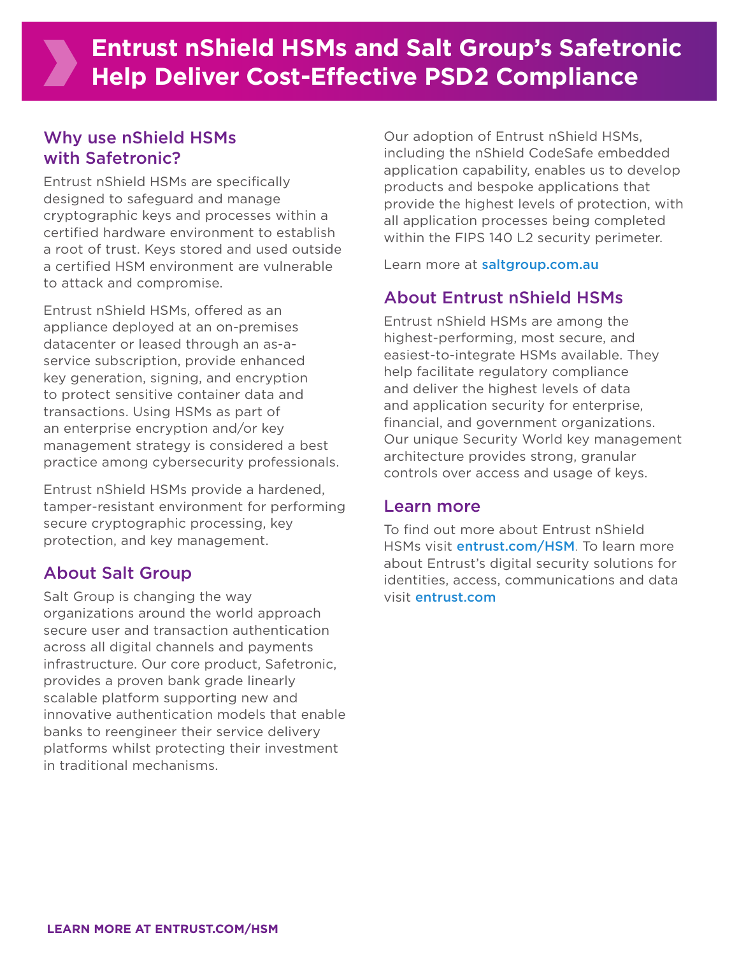## Why use nShield HSMs with Safetronic?

Entrust nShield HSMs are specifically designed to safeguard and manage cryptographic keys and processes within a certified hardware environment to establish a root of trust. Keys stored and used outside a certified HSM environment are vulnerable to attack and compromise.

Entrust nShield HSMs, offered as an appliance deployed at an on-premises datacenter or leased through an as-aservice subscription, provide enhanced key generation, signing, and encryption to protect sensitive container data and transactions. Using HSMs as part of an enterprise encryption and/or key management strategy is considered a best practice among cybersecurity professionals.

Entrust nShield HSMs provide a hardened, tamper-resistant environment for performing secure cryptographic processing, key protection, and key management.

## About Salt Group

Salt Group is changing the way organizations around the world approach secure user and transaction authentication across all digital channels and payments infrastructure. Our core product, Safetronic, provides a proven bank grade linearly scalable platform supporting new and innovative authentication models that enable banks to reengineer their service delivery platforms whilst protecting their investment in traditional mechanisms.

Our adoption of Entrust nShield HSMs, including the nShield CodeSafe embedded application capability, enables us to develop products and bespoke applications that provide the highest levels of protection, with all application processes being completed within the FIPS 140 L2 security perimeter.

Learn more at [saltgroup.com.au](http://saltgroup.com.au)

## About Entrust nShield HSMs

Entrust nShield HSMs are among the highest-performing, most secure, and easiest-to-integrate HSMs available. They help facilitate regulatory compliance and deliver the highest levels of data and application security for enterprise, financial, and government organizations. Our unique Security World key management architecture provides strong, granular controls over access and usage of keys.

#### Learn more

To find out more about Entrust nShield HSMs visit *[entrust.com/HSM](http://www.entrust.com/hsm)*. To learn more about Entrust's digital security solutions for identities, access, communications and data visit [entrust.com](http://www.entrust.com)